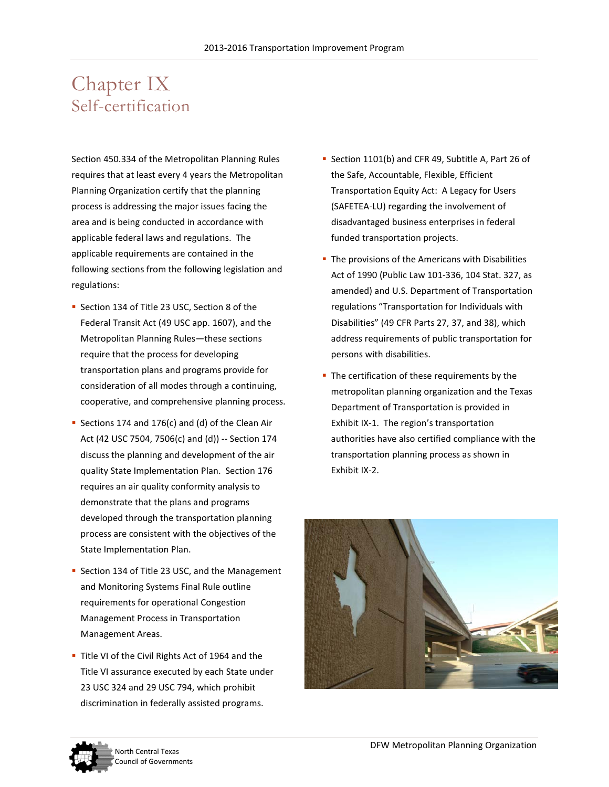# Chapter IX Self-certification

Section 450.334 of the Metropolitan Planning Rules requires that at least every 4 years the Metropolitan Planning Organization certify that the planning process is addressing the major issues facing the area and is being conducted in accordance with applicable federal laws and regulations. The applicable requirements are contained in the following sections from the following legislation and regulations:

- Section 134 of Title 23 USC, Section 8 of the Federal Transit Act (49 USC app. 1607), and the Metropolitan Planning Rules—these sections require that the process for developing transportation plans and programs provide for consideration of all modes through a continuing, cooperative, and comprehensive planning process.
- Sections 174 and 176(c) and (d) of the Clean Air Act (42 USC 7504, 7506(c) and (d)) -- Section 174 discuss the planning and development of the air quality State Implementation Plan. Section 176 requires an air quality conformity analysis to demonstrate that the plans and programs developed through the transportation planning process are consistent with the objectives of the State Implementation Plan.
- **Section 134 of Title 23 USC, and the Management** and Monitoring Systems Final Rule outline requirements for operational Congestion Management Process in Transportation Management Areas.
- Title VI of the Civil Rights Act of 1964 and the Title VI assurance executed by each State under 23 USC 324 and 29 USC 794, which prohibit discrimination in federally assisted programs.
- Section 1101(b) and CFR 49, Subtitle A, Part 26 of the Safe, Accountable, Flexible, Efficient Transportation Equity Act: A Legacy for Users (SAFETEA-LU) regarding the involvement of disadvantaged business enterprises in federal funded transportation projects.
- The provisions of the Americans with Disabilities Act of 1990 (Public Law 101-336, 104 Stat. 327, as amended) and U.S. Department of Transportation regulations "Transportation for Individuals with Disabilities" (49 CFR Parts 27, 37, and 38), which address requirements of public transportation for persons with disabilities.
- The certification of these requirements by the metropolitan planning organization and the Texas Department of Transportation is provided in Exhibit IX-1. The region's transportation authorities have also certified compliance with the transportation planning process as shown in Exhibit IX-2.



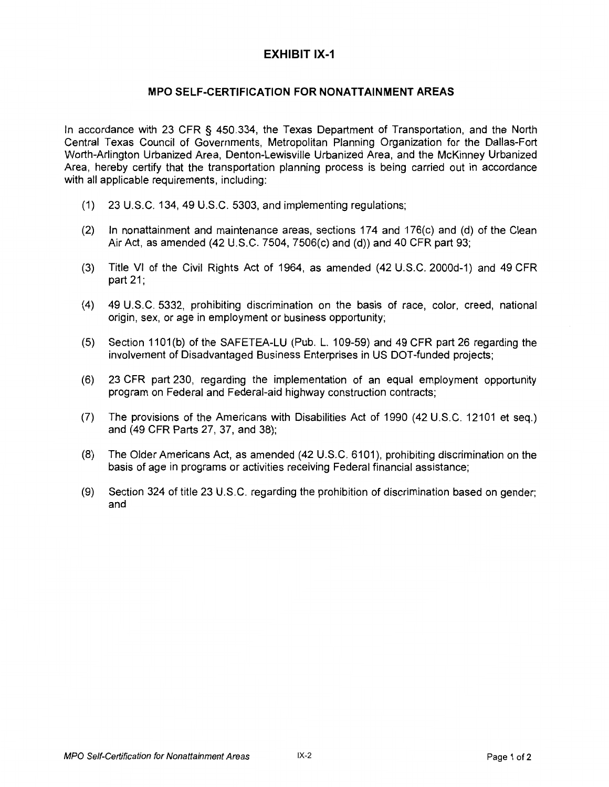#### **MPO SELF-CERTIFICATION FOR NONATTAINMENT AREAS**

In accordance with 23 CFR § 450.334, the Texas Department of Transportation, and the North Central Texas Council of Governments, Metropolitan Planning Organization for the Dallas-Fort Worth-Arlington Urbanized Area, Denton-Lewisville Urbanized Area, and the McKinney Urbanized Area, hereby certify that the transportation planning process is being carried out in accordance with all applicable requirements, including:

- (1) 23 U.S.C. 134, 49 U.S.C. 5303, and implementing regulations;
- (2) In nonattainment and maintenance areas, sections 174 and 176(c) and (d) of the Clean Air Act, as amended (42 U.S.C. 7504, 7506(c) and (d)) and 40 CFR part 93;
- (3) Title VI of the Civil Rights Act of 1964, as amended (42 U.S.C. 2000d-1) and 49 CFR part 21;
- (4) 49 U.S.C. 5332, prohibiting discrimination on the basis of race, color, creed, national origin, sex, or age in employment or business opportunity;
- (5) Section 1101 (b) of the SAFETEA-LU (Pub. L. 1 09-59) and 49 CFR part 26 regarding the involvement of Disadvantaged Business Enterprises in US DOT-funded projects;
- (6) 23 CFR part 230, regarding the implementation of an equal employment opportunity program on Federal and Federal-aid highway construction contracts;
- (7) The provisions of the Americans with Disabilities Act of 1990 (42 U.S.C. 12101 et seq.) and (49 CFR Parts 27, 37, and 38);
- (8) The Older Americans Act, as amended (42 U.S. C. 6101), prohibiting discrimination on the basis of age in programs or activities receiving Federal financial assistance;
- (9) Section 324 of title 23 U.S.C. regarding the prohibition of discrimination based on gender; and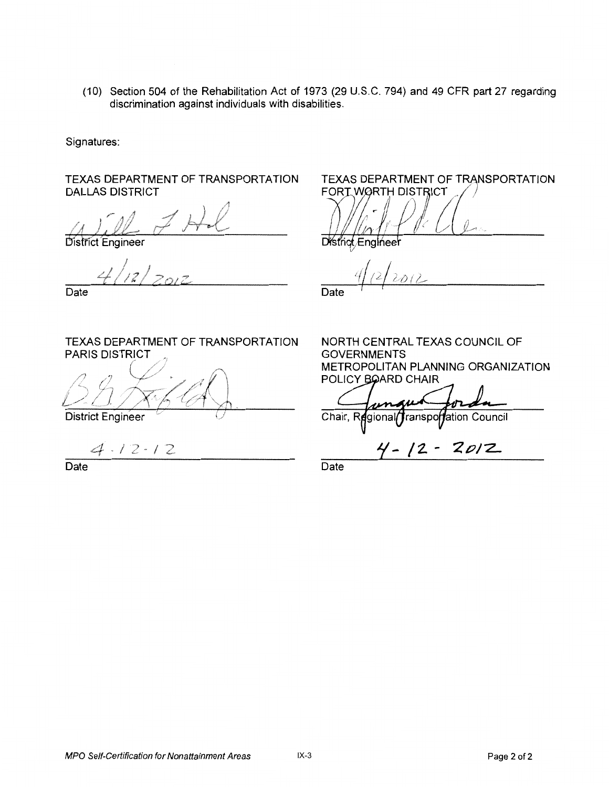(10) Section 504 of the Rehabilitation Act of 1973 (29 U.S. C. 794) and 49 CFR part 27 regarding discrimination against individuals with disabilities.

Signatures:

TEXAS DEPARTMENT OF TRANSPORTATION DALLAS DISTRICT

District Engineer

 $\sqrt{2}$ 

Date

TEXAS DEPARTMENT OF TRANSPORTATION PARIS DISTRICT

( /,f ""///"'  $\not\!\!\!\!\!/$ 

**District Engineer** 

 $4.12 - 12$ 

Date

**TEXAS DEPARTMENT OF TRANSPORTATION** FORT WORTH DISTRICT

District Engineer

Date

NORTH CENTRAL TEXAS COUNCIL OF GOVERNMENTS METROPOLITAN PLANNING ORGANIZATION POLICY BOARD CHAIR

Chair, F ranspo**rf**ation Council

gional

**'f-** */2..* - **ZP/Z.** 

**Date**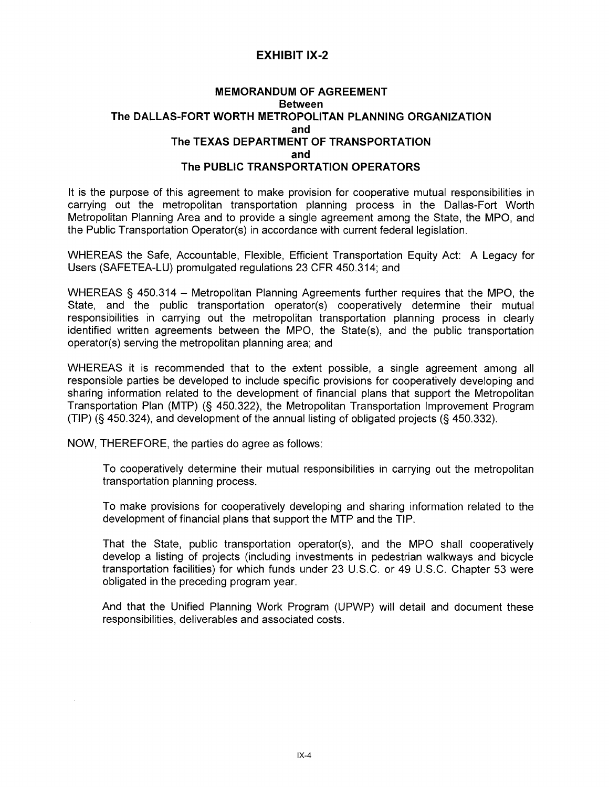#### **EXHIBIT IX-2**

#### **MEMORANDUM OF AGREEMENT Between** The DALLAS-FORT WORTH METROPOLITAN PLANNING ORGANIZATION and The TEXAS DEPARTMENT OF TRANSPORTATION and The PUBLIC TRANSPORTATION OPERATORS

It is the purpose of this agreement to make provision for cooperative mutual responsibilities in carrying out the metropolitan transportation planning process in the Dallas-Fort Worth Metropolitan Planning Area and to provide a single agreement among the State, the MPO, and the Public Transportation Operator(s) in accordance with current federal legislation.

WHEREAS the Safe, Accountable, Flexible, Efficient Transportation Equity Act: A Legacy for Users (SAFETEA-LU) promulgated regulations 23 CFR 450.314; and

WHEREAS § 450.314 – Metropolitan Planning Agreements further requires that the MPO, the State, and the public transportation operator(s) cooperatively determine their mutual responsibilities in carrying out the metropolitan transportation planning process in clearly identified written agreements between the MPO, the State(s), and the public transportation operator(s) serving the metropolitan planning area; and

WHEREAS it is recommended that to the extent possible, a single agreement among all responsible parties be developed to include specific provisions for cooperatively developing and sharing information related to the development of financial plans that support the Metropolitan Transportation Plan (MTP) (§ 450.322), the Metropolitan Transportation Improvement Program (TIP) (§ 450.324), and development of the annual listing of obligated projects (§ 450.332).

NOW, THEREFORE, the parties do agree as follows:

To cooperatively determine their mutual responsibilities in carrying out the metropolitan transportation planning process.

To make provisions for cooperatively developing and sharing information related to the development of financial plans that support the MTP and the TIP.

That the State, public transportation operator(s), and the MPO shall cooperatively develop a listing of projects (including investments in pedestrian walkways and bicycle transportation facilities) for which funds under 23 U.S.C. or 49 U.S.C. Chapter 53 were obligated in the preceding program year.

And that the Unified Planning Work Program (UPWP) will detail and document these responsibilities, deliverables and associated costs.